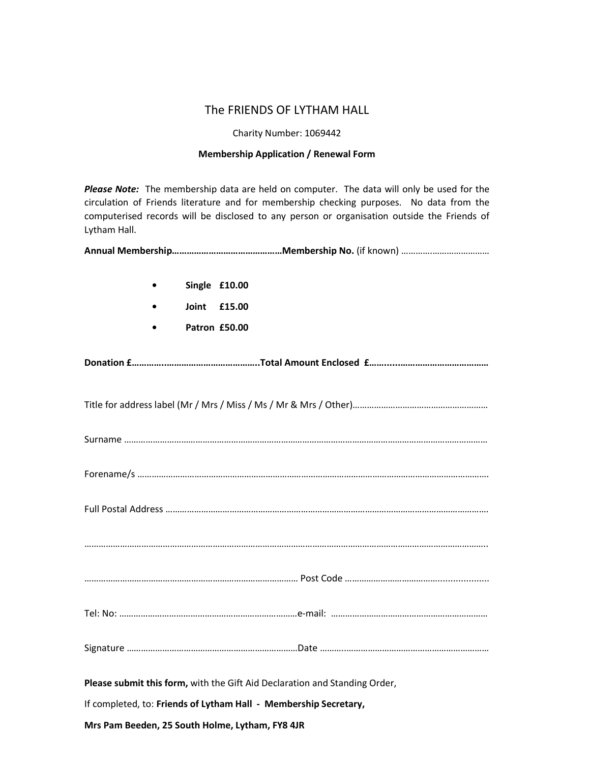## The FRIENDS OF LYTHAM HALL

Charity Number: 1069442

### Membership Application / Renewal Form

*Please Note:* The membership data are held on computer. The data will only be used for the circulation of Friends literature and for membership checking purposes. No data from the computerised records will be disclosed to any person or organisation outside the Friends of Lytham Hall.

|--|--|--|

| Single £10.00                                                              |  |
|----------------------------------------------------------------------------|--|
| Joint<br>£15.00                                                            |  |
| Patron £50.00                                                              |  |
|                                                                            |  |
|                                                                            |  |
|                                                                            |  |
|                                                                            |  |
|                                                                            |  |
|                                                                            |  |
|                                                                            |  |
|                                                                            |  |
|                                                                            |  |
| Please submit this form, with the Gift Aid Declaration and Standing Order, |  |
| If completed, to: Friends of Lytham Hall - Membership Secretary,           |  |
| Mrs Pam Beeden, 25 South Holme, Lytham, FY8 4JR                            |  |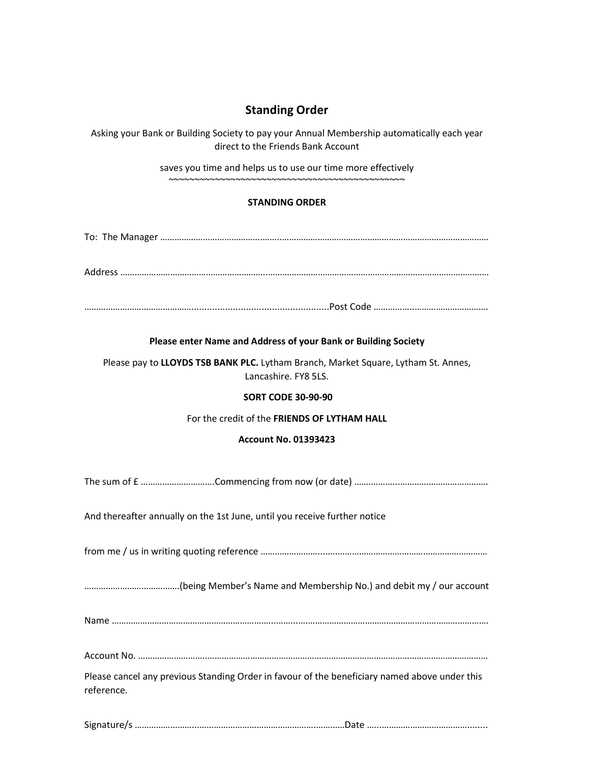# Standing Order

Asking your Bank or Building Society to pay your Annual Membership automatically each year direct to the Friends Bank Account

> saves you time and helps us to use our time more effectively ~~~~~~~~~~~~~~~~~~~~~~~~~~~~~~~~~~~~~~~~~~~~~~

### STANDING ORDER

To: The Manager …………………………………….……..……………………………………………………………………………

Address ……………………………………………………..…………………………………………………………………………………

……………………………………….....................................................Post Code ……………..………………………….

#### Please enter Name and Address of your Bank or Building Society

Please pay to LLOYDS TSB BANK PLC. Lytham Branch, Market Square, Lytham St. Annes, Lancashire. FY8 5LS.

#### SORT CODE 30-90-90

#### For the credit of the FRIENDS OF LYTHAM HALL

#### Account No. 01393423

The sum of £ ………………………….Commencing from now (or date) …….………...……………………………….

And thereafter annually on the 1st June, until you receive further notice

from me / us in writing quoting reference ……………………...…..………………………………………………………

………………………………….(being Member's Name and Membership No.) and debit my / our account

|--|

Account No. ………………………..…………………………………………….…………………………………………………………

Please cancel any previous Standing Order in favour of the beneficiary named above under this reference.

Signature/s ……………………...………………………………………….…………Date …...………………………………........